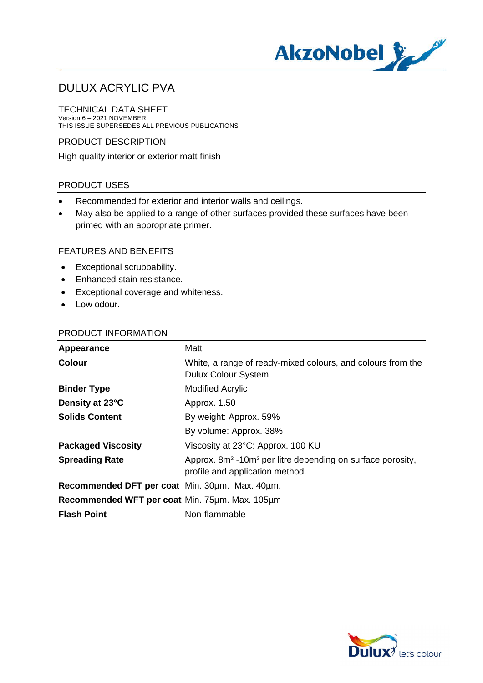

TECHNICAL DATA SHEET Version 6 – 2021 NOVEMBER THIS ISSUE SUPERSEDES ALL PREVIOUS PUBLICATIONS

PRODUCT DESCRIPTION

High quality interior or exterior matt finish

### PRODUCT USES

- · Recommended for exterior and interior walls and ceilings.
- · May also be applied to a range of other surfaces provided these surfaces have been primed with an appropriate primer.

### FEATURES AND BENEFITS

- · Exceptional scrubbability.
- · Enhanced stain resistance.
- · Exceptional coverage and whiteness.
- Low odour.

#### PRODUCT INFORMATION

| Appearance                                     | Matt                                                                                                                  |
|------------------------------------------------|-----------------------------------------------------------------------------------------------------------------------|
| <b>Colour</b>                                  | White, a range of ready-mixed colours, and colours from the<br><b>Dulux Colour System</b>                             |
| <b>Binder Type</b>                             | <b>Modified Acrylic</b>                                                                                               |
| Density at 23°C                                | Approx. 1.50                                                                                                          |
| <b>Solids Content</b>                          | By weight: Approx. 59%                                                                                                |
|                                                | By volume: Approx. 38%                                                                                                |
| <b>Packaged Viscosity</b>                      | Viscosity at 23°C: Approx. 100 KU                                                                                     |
| <b>Spreading Rate</b>                          | Approx. 8m <sup>2</sup> -10m <sup>2</sup> per litre depending on surface porosity,<br>profile and application method. |
| Recommended DFT per coat Min. 30um. Max. 40um. |                                                                                                                       |
| Recommended WFT per coat Min. 75um. Max. 105um |                                                                                                                       |
| <b>Flash Point</b>                             | Non-flammable                                                                                                         |

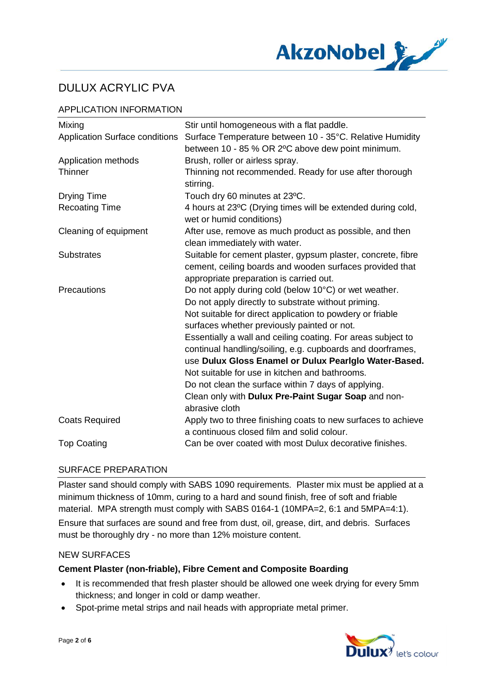

## APPLICATION INFORMATION

| Mixing                                | Stir until homogeneous with a flat paddle.                                                                                                                          |
|---------------------------------------|---------------------------------------------------------------------------------------------------------------------------------------------------------------------|
| <b>Application Surface conditions</b> | Surface Temperature between 10 - 35°C. Relative Humidity<br>between 10 - 85 % OR 2°C above dew point minimum.                                                       |
| Application methods                   | Brush, roller or airless spray.                                                                                                                                     |
| Thinner                               | Thinning not recommended. Ready for use after thorough<br>stirring.                                                                                                 |
| <b>Drying Time</b>                    | Touch dry 60 minutes at 23°C.                                                                                                                                       |
| <b>Recoating Time</b>                 | 4 hours at 23°C (Drying times will be extended during cold,<br>wet or humid conditions)                                                                             |
| Cleaning of equipment                 | After use, remove as much product as possible, and then<br>clean immediately with water.                                                                            |
| <b>Substrates</b>                     | Suitable for cement plaster, gypsum plaster, concrete, fibre<br>cement, ceiling boards and wooden surfaces provided that<br>appropriate preparation is carried out. |
| Precautions                           | Do not apply during cold (below 10°C) or wet weather.                                                                                                               |
|                                       | Do not apply directly to substrate without priming.                                                                                                                 |
|                                       | Not suitable for direct application to powdery or friable                                                                                                           |
|                                       | surfaces whether previously painted or not.                                                                                                                         |
|                                       | Essentially a wall and ceiling coating. For areas subject to                                                                                                        |
|                                       | continual handling/soiling, e.g. cupboards and doorframes,                                                                                                          |
|                                       | use Dulux Gloss Enamel or Dulux Pearlglo Water-Based.                                                                                                               |
|                                       | Not suitable for use in kitchen and bathrooms.                                                                                                                      |
|                                       | Do not clean the surface within 7 days of applying.                                                                                                                 |
|                                       | Clean only with Dulux Pre-Paint Sugar Soap and non-<br>abrasive cloth                                                                                               |
| <b>Coats Required</b>                 | Apply two to three finishing coats to new surfaces to achieve<br>a continuous closed film and solid colour.                                                         |
| <b>Top Coating</b>                    | Can be over coated with most Dulux decorative finishes.                                                                                                             |

## SURFACE PREPARATION

Plaster sand should comply with SABS 1090 requirements. Plaster mix must be applied at a minimum thickness of 10mm, curing to a hard and sound finish, free of soft and friable material. MPA strength must comply with SABS 0164-1 (10MPA=2, 6:1 and 5MPA=4:1).

Ensure that surfaces are sound and free from dust, oil, grease, dirt, and debris. Surfaces must be thoroughly dry - no more than 12% moisture content.

#### NEW SURFACES

#### **Cement Plaster (non-friable), Fibre Cement and Composite Boarding**

- · It is recommended that fresh plaster should be allowed one week drying for every 5mm thickness; and longer in cold or damp weather.
- · Spot-prime metal strips and nail heads with appropriate metal primer.

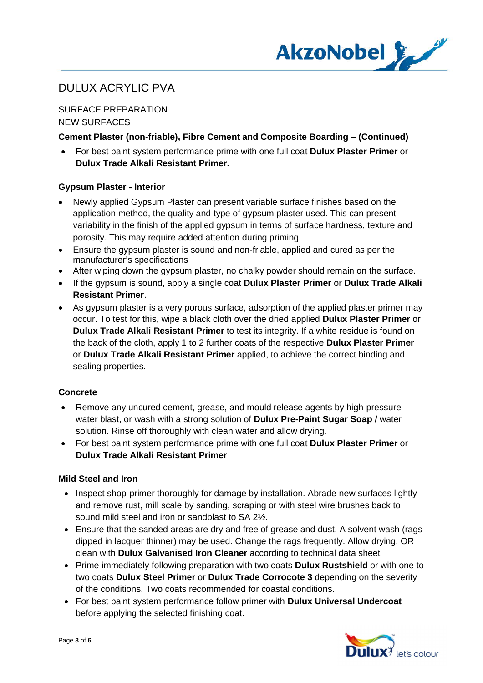

## SURFACE PREPARATION

#### NEW SURFACES

## **Cement Plaster (non-friable), Fibre Cement and Composite Boarding – (Continued)**

· For best paint system performance prime with one full coat **Dulux Plaster Primer** or **Dulux Trade Alkali Resistant Primer.**

### **Gypsum Plaster - Interior**

- · Newly applied Gypsum Plaster can present variable surface finishes based on the application method, the quality and type of gypsum plaster used. This can present variability in the finish of the applied gypsum in terms of surface hardness, texture and porosity. This may require added attention during priming.
- · Ensure the gypsum plaster is sound and non-friable, applied and cured as per the manufacturer's specifications
- After wiping down the gypsum plaster, no chalky powder should remain on the surface.
- · If the gypsum is sound, apply a single coat **Dulux Plaster Primer** or **Dulux Trade Alkali Resistant Primer**.
- · As gypsum plaster is a very porous surface, adsorption of the applied plaster primer may occur. To test for this, wipe a black cloth over the dried applied **Dulux Plaster Primer** or **Dulux Trade Alkali Resistant Primer** to test its integrity. If a white residue is found on the back of the cloth, apply 1 to 2 further coats of the respective **Dulux Plaster Primer** or **Dulux Trade Alkali Resistant Primer** applied, to achieve the correct binding and sealing properties.

## **Concrete**

- · Remove any uncured cement, grease, and mould release agents by high-pressure water blast, or wash with a strong solution of **Dulux Pre-Paint Sugar Soap /** water solution. Rinse off thoroughly with clean water and allow drying.
- · For best paint system performance prime with one full coat **Dulux Plaster Primer** or **Dulux Trade Alkali Resistant Primer**

#### **Mild Steel and Iron**

- Inspect shop-primer thoroughly for damage by installation. Abrade new surfaces lightly and remove rust, mill scale by sanding, scraping or with steel wire brushes back to sound mild steel and iron or sandblast to SA 2½.
- Ensure that the sanded areas are dry and free of grease and dust. A solvent wash (rags dipped in lacquer thinner) may be used. Change the rags frequently. Allow drying, OR clean with **Dulux Galvanised Iron Cleaner** according to technical data sheet
- · Prime immediately following preparation with two coats **Dulux Rustshield** or with one to two coats **Dulux Steel Primer** or **Dulux Trade Corrocote 3** depending on the severity of the conditions. Two coats recommended for coastal conditions.
- · For best paint system performance follow primer with **Dulux Universal Undercoat** before applying the selected finishing coat.

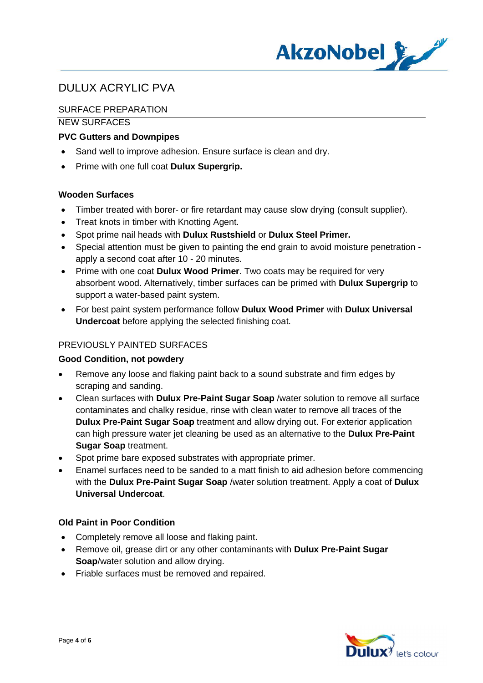

## SURFACE PREPARATION

NEW SURFACES

## **PVC Gutters and Downpipes**

- Sand well to improve adhesion. Ensure surface is clean and dry.
- · Prime with one full coat **Dulux Supergrip.**

### **Wooden Surfaces**

- Timber treated with borer- or fire retardant may cause slow drying (consult supplier).
- · Treat knots in timber with Knotting Agent.
- · Spot prime nail heads with **Dulux Rustshield** or **Dulux Steel Primer.**
- · Special attention must be given to painting the end grain to avoid moisture penetration apply a second coat after 10 - 20 minutes.
- · Prime with one coat **Dulux Wood Primer**. Two coats may be required for very absorbent wood. Alternatively, timber surfaces can be primed with **Dulux Supergrip** to support a water-based paint system.
- · For best paint system performance follow **Dulux Wood Primer** with **Dulux Universal Undercoat** before applying the selected finishing coat.

## PREVIOUSLY PAINTED SURFACES

#### **Good Condition, not powdery**

- · Remove any loose and flaking paint back to a sound substrate and firm edges by scraping and sanding.
- · Clean surfaces with **Dulux Pre-Paint Sugar Soap** /water solution to remove all surface contaminates and chalky residue, rinse with clean water to remove all traces of the **Dulux Pre-Paint Sugar Soap** treatment and allow drying out. For exterior application can high pressure water jet cleaning be used as an alternative to the **Dulux Pre-Paint Sugar Soap** treatment.
- Spot prime bare exposed substrates with appropriate primer.
- · Enamel surfaces need to be sanded to a matt finish to aid adhesion before commencing with the **Dulux Pre-Paint Sugar Soap** /water solution treatment. Apply a coat of **Dulux Universal Undercoat**.

#### **Old Paint in Poor Condition**

- · Completely remove all loose and flaking paint.
- · Remove oil, grease dirt or any other contaminants with **Dulux Pre-Paint Sugar Soap**/water solution and allow drying.
- · Friable surfaces must be removed and repaired.

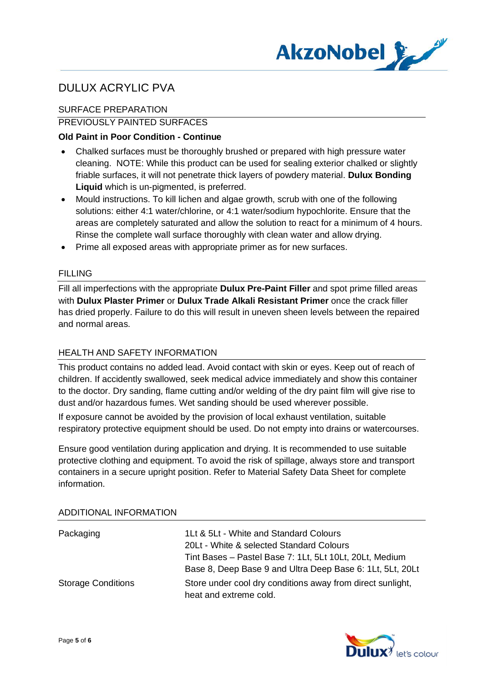

## SURFACE PREPARATION

## PREVIOUSLY PAINTED SURFACES

### **Old Paint in Poor Condition - Continue**

- · Chalked surfaces must be thoroughly brushed or prepared with high pressure water cleaning. NOTE: While this product can be used for sealing exterior chalked or slightly friable surfaces, it will not penetrate thick layers of powdery material. **Dulux Bonding Liquid** which is un-pigmented, is preferred.
- · Mould instructions. To kill lichen and algae growth, scrub with one of the following solutions: either 4:1 water/chlorine, or 4:1 water/sodium hypochlorite. Ensure that the areas are completely saturated and allow the solution to react for a minimum of 4 hours. Rinse the complete wall surface thoroughly with clean water and allow drying.
- · Prime all exposed areas with appropriate primer as for new surfaces.

#### FILLING

Fill all imperfections with the appropriate **Dulux Pre-Paint Filler** and spot prime filled areas with **Dulux Plaster Primer** or **Dulux Trade Alkali Resistant Primer** once the crack filler has dried properly. Failure to do this will result in uneven sheen levels between the repaired and normal areas.

#### HEALTH AND SAFETY INFORMATION

This product contains no added lead. Avoid contact with skin or eyes. Keep out of reach of children. If accidently swallowed, seek medical advice immediately and show this container to the doctor. Dry sanding, flame cutting and/or welding of the dry paint film will give rise to dust and/or hazardous fumes. Wet sanding should be used wherever possible.

If exposure cannot be avoided by the provision of local exhaust ventilation, suitable respiratory protective equipment should be used. Do not empty into drains or watercourses.

Ensure good ventilation during application and drying. It is recommended to use suitable protective clothing and equipment. To avoid the risk of spillage, always store and transport containers in a secure upright position. Refer to Material Safety Data Sheet for complete information.

| Packaging                 | 1Lt & 5Lt - White and Standard Colours<br>20Lt - White & selected Standard Colours<br>Tint Bases - Pastel Base 7: 1Lt, 5Lt 10Lt, 20Lt, Medium<br>Base 8, Deep Base 9 and Ultra Deep Base 6: 1Lt, 5Lt, 20Lt |
|---------------------------|------------------------------------------------------------------------------------------------------------------------------------------------------------------------------------------------------------|
| <b>Storage Conditions</b> | Store under cool dry conditions away from direct sunlight,<br>heat and extreme cold.                                                                                                                       |

#### ADDITIONAL INFORMATION